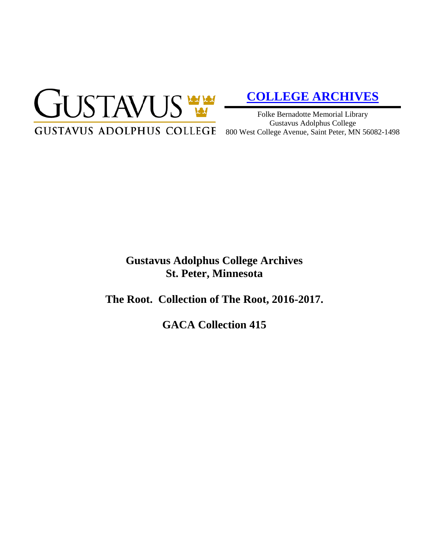

# **[COLLEGE ARCHIVES](http://gustavus.edu/academics/library/archives/)**

Folke Bernadotte Memorial Library Gustavus Adolphus College 800 West College Avenue, Saint Peter, MN 56082-1498

# **Gustavus Adolphus College Archives St. Peter, Minnesota**

**The Root. Collection of The Root, 2016-2017.**

**GACA Collection 415**